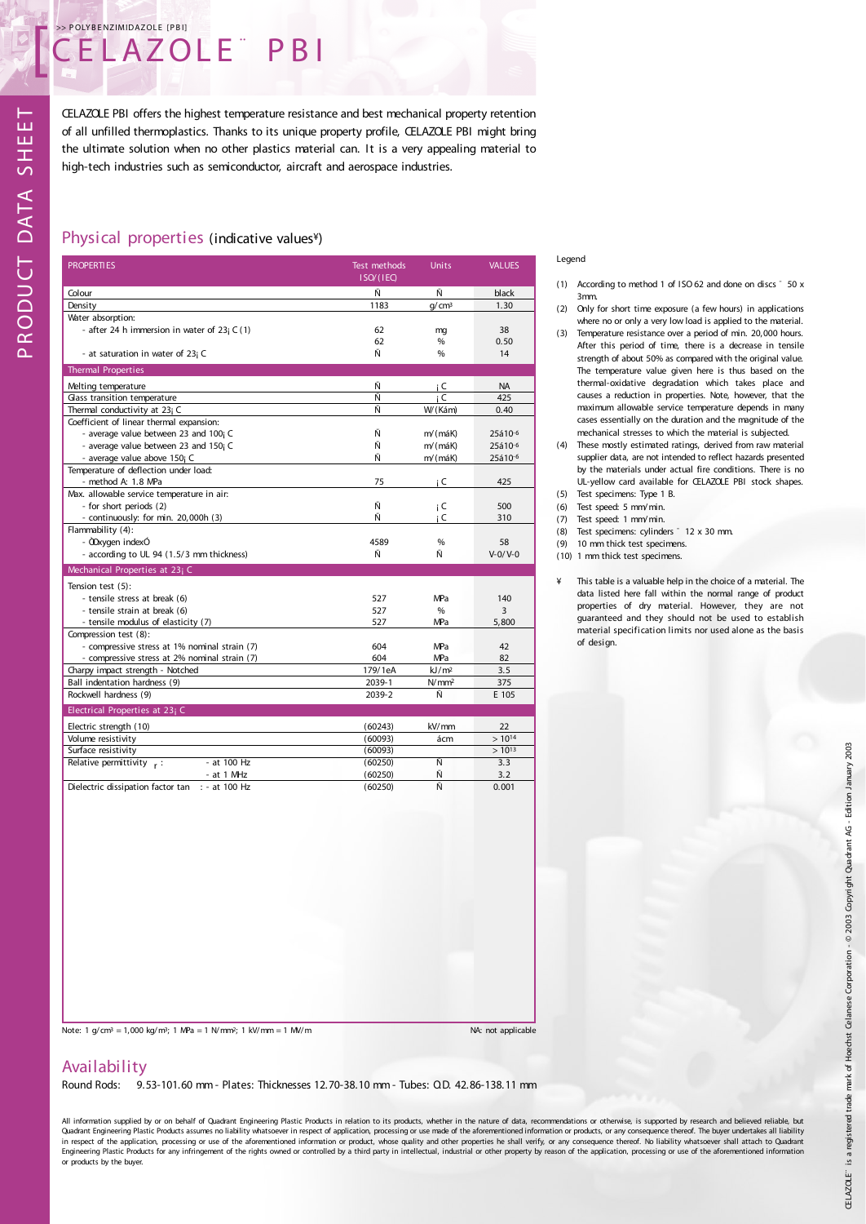# CELAZOLE<sup>®</sup> E CELAZOLE PBIJ

CELAZOLE PBI offers the highest temperature resistance and best mechanical property retention of all unfilled thermoplastics. Thanks to its unique property profile, CELAZOLE PBI might bring the ultimate solution when no other plastics material can. It is a very appealing material to high-tech industries such as semiconductor, aircraft and aerospace industries.

# Physical properties (indicative values¥)

| <b>PROPERTIES</b>                             | Test methods | <b>Units</b>      | <b>VALUES</b>   |
|-----------------------------------------------|--------------|-------------------|-----------------|
|                                               | ISO/(IEC)    |                   |                 |
| Colour                                        | Ñ            | Ñ                 | black           |
| Density                                       | 1183         | q/cm <sup>3</sup> | 1.30            |
| Water absorption:                             |              |                   |                 |
| - after 24 h immersion in water of $23i C(1)$ | 62           | mg                | 38              |
|                                               | 62           | %                 | 0.50            |
| - at saturation in water of 23; C             | Ñ            | %                 | 14              |
| <b>Thermal Properties</b>                     |              |                   |                 |
| Melting temperature                           | Ñ            | i C               | <b>NA</b>       |
| Glass transition temperature                  | Ñ            | i C               | 425             |
| Thermal conductivity at 23; C                 | Ñ            | W/(Kám)           | 0.40            |
| Coefficient of linear thermal expansion:      |              |                   |                 |
| - average value between 23 and 100; C         | Ñ            | $m/(m\acute{a}K)$ | 25á10-6         |
| - average value between 23 and 150; C         | Ñ            | m/(máK)           | 25á10-6         |
| - average value above 150; C                  | Ñ            | $m/(m\acute{a}K)$ | 25á10-6         |
| Temperature of deflection under load:         |              |                   |                 |
| - method A: 1.8 MPa                           | 75           | i C               | 425             |
| Max. allowable service temperature in air:    |              |                   |                 |
| - for short periods (2)                       | Ñ            | i C               | 500             |
| - continuously: for min. 20,000h (3)          | Ñ            | i C               | 310             |
| Flammability (4):                             |              |                   |                 |
| - ODxygen indexÓ                              | 4589         | %                 | 58              |
| - according to UL 94 (1.5/3 mm thickness)     | Ñ            | Ñ                 | $V - 0 / V - 0$ |
| Mechanical Properties at 23; C                |              |                   |                 |
| Tension test (5):                             |              |                   |                 |
| - tensile stress at break (6)                 | 527          | MPa               | 140             |
| - tensile strain at break (6)                 | 527          | %                 | 3               |
| - tensile modulus of elasticity (7)           | 527          | MPa               | 5,800           |
| Compression test (8):                         |              |                   |                 |
| - compressive stress at 1% nominal strain (7) | 604          | MPa               | 42              |
| - compressive stress at 2% nominal strain (7) | 604          | MPa               | 82              |
| Charpy impact strength - Notched              | 179/1eA      | kJ/m <sup>2</sup> | 3.5             |
| Ball indentation hardness (9)                 | 2039-1       | N/mm <sup>2</sup> | 375             |
| Rockwell hardness (9)                         | 2039-2       | Ñ                 | E 105           |
| Electrical Properties at 23; C                |              |                   |                 |
| Electric strength (10)                        | (60243)      | kV/mm             | 22              |
| Volume resistivity                            | (60093)      | ácm               | $>10^{14}$      |
| Surface resistivity                           | (60093)      |                   | $>10^{13}$      |
| - at 100 Hz<br>Relative permittivity $r$ :    | (60250)      | Ñ                 | 3.3             |
| - at 1 MHz                                    | (60250)      | Ñ                 | 3.2             |

- at 1 MHz (60250) <br>at 100 Hz (60250) Ñ

Legend

- (1) According to method 1 of ISO 62 and done on discs ¯ 50 x 3mm.
- (2) Only for short time exposure (a few hours) in applications where no or only a very low load is applied to the material.
- (3) Temperature resistance over a period of min. 20,000 hours. After this period of time, there is a decrease in tensile strength of about 50% as compared with the original value. The temperature value given here is thus based on the thermal-oxidative degradation which takes place and causes a reduction in properties. Note, however, that the maximum allowable service temperature depends in many cases essentially on the duration and the magnitude of the mechanical stresses to which the material is subjected.
- (4) These mostly estimated ratings, derived from raw material supplier data, are not intended to reflect hazards presented by the materials under actual fire conditions. There is no UL-yellow card available for CELAZOLE PBI stock shapes.
- (5) Test specimens: Type 1 B.
- (6) Test speed: 5 mm/min. (7) Test speed: 1 mm/min.
- (8) Test specimens: cylinders  $-12 \times 30$  mm.
- (9) 10 mm thick test specimens.
- (10) 1 mm thick test specimens.
- ¥ This table is a valuable help in the choice of a material. The data listed here fall within the normal range of product properties of dry material. However, they are not guaranteed and they should not be used to establish material specification limits nor used alone as the basis of design.

 $\mathsf n$  $\propto$  $\bigcirc$  $\mathop{\Box}$  $\supset$  $\cup$  $\vdash$  $\mathop{\mathsf{C}}$  $\prec$  $\vdash$  $\prec$ M HEE $\vdash$ 

Note: 1 g/cm<sup>3</sup> = 1,000 kg/m<sup>3</sup>; 1 MPa = 1 N/mm<sup>2</sup>; 1 kV/mm = 1 MV/m

Dielectric dissipation factor  $tan$  : - at 100 Hz

3.2 0.001

# Availability

Round Rods: 9.53-101.60 mm - Plates: Thicknesses 12.70-38.10 mm - Tubes: O.D. 42.86-138.11 mm

All information supplied by or on behalf of Quadrant Engineering Plastic Products in relation to its products, whether in the nature of data, recommendations or otherwise, is supported by research and believed reliable, but Quadrant Engineering Plastic Products assumes no liability whatsoever in respect of application, processing or use made of the aforementioned information or products, or any consequence thereof. The buyer undertakes all li in respect of the application, processing or use of the aforementioned information or product, whose quality and other properties he shall verify, or any consequence thereof. No liability whatsoever shall attach to Quadran or products by the buyer.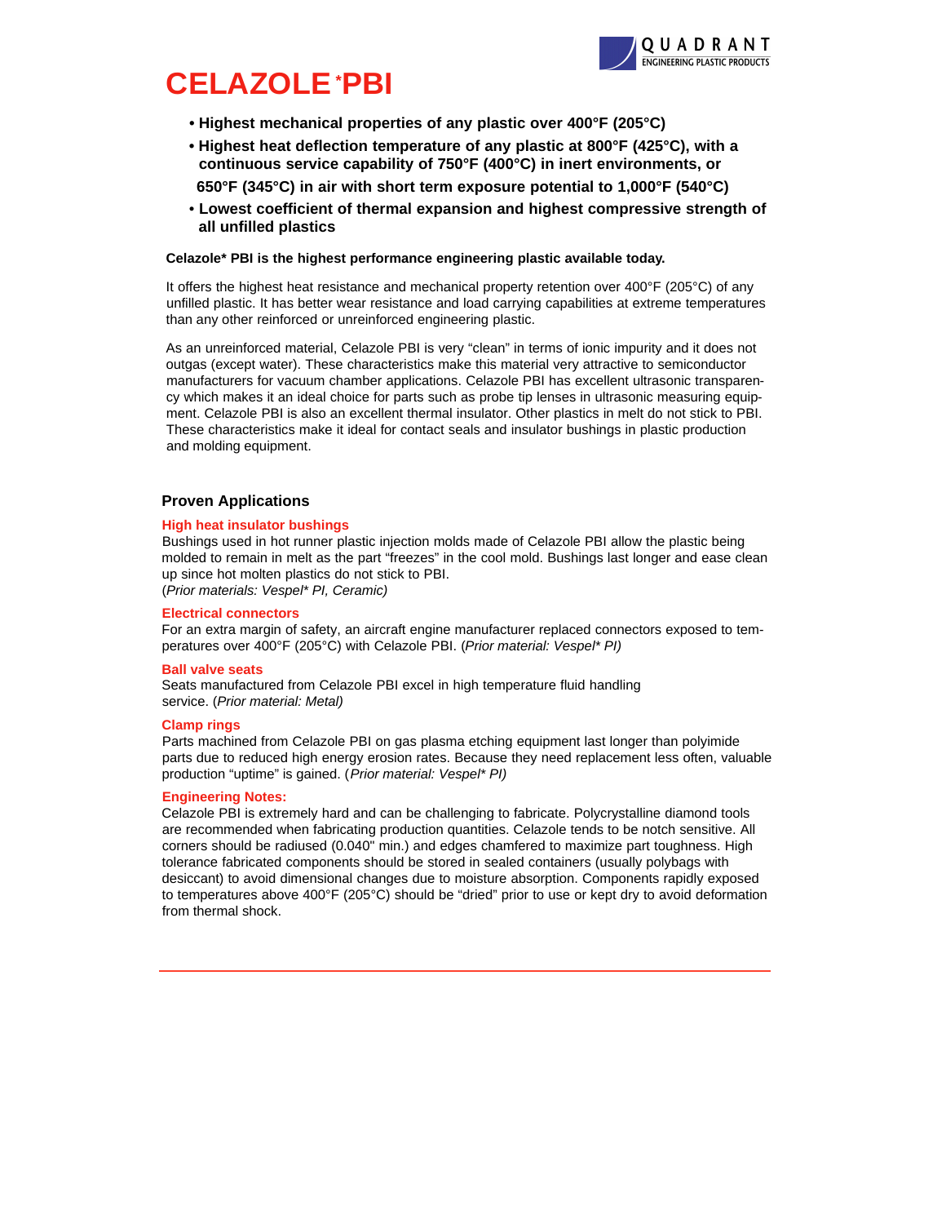

# **CELAZOLE\*PBI**

- **• Highest mechanical properties of any plastic over 400°F (205°C)**
- **Highest heat deflection temperature of any plastic at 800°F (425°C), with a continuous service capability of 750°F (400°C) in inert environments, or 650°F (345°C) in air with short term exposure potential to 1,000°F (540°C)**
- **Lowest coefficient of thermal expansion and highest compressive strength of all unfilled plastics**

#### **Celazole\* PBI is the highest performance engineering plastic available today.**

It offers the highest heat resistance and mechanical property retention over 400°F (205°C) of any unfilled plastic. It has better wear resistance and load carrying capabilities at extreme temperatures than any other reinforced or unreinforced engineering plastic.

As an unreinforced material, Celazole PBI is very "clean" in terms of ionic impurity and it does not outgas (except water). These characteristics make this material very attractive to semiconductor manufacturers for vacuum chamber applications. Celazole PBI has excellent ultrasonic transparency which makes it an ideal choice for parts such as probe tip lenses in ultrasonic measuring equipment. Celazole PBI is also an excellent thermal insulator. Other plastics in melt do not stick to PBI. These characteristics make it ideal for contact seals and insulator bushings in plastic production and molding equipment.

# **Proven Applications**

#### **High heat insulator bushings**

Bushings used in hot runner plastic injection molds made of Celazole PBI allow the plastic being molded to remain in melt as the part "freezes" in the cool mold. Bushings last longer and ease clean up since hot molten plastics do not stick to PBI.

(*Prior materials: Vespel\* PI, Ceramic)*

#### **Electrical connectors**

For an extra margin of safety, an aircraft engine manufacturer replaced connectors exposed to temperatures over 400°F (205°C) with Celazole PBI. (*Prior material: Vespel\* PI)*

#### **Ball valve seats**

Seats manufactured from Celazole PBI excel in high temperature fluid handling service. (*Prior material: Metal)*

#### **Clamp rings**

Parts machined from Celazole PBI on gas plasma etching equipment last longer than polyimide parts due to reduced high energy erosion rates. Because they need replacement less often, valuable production "uptime" is gained. (*Prior material: Vespel\* PI)*

#### **Engineering Notes:**

Celazole PBI is extremely hard and can be challenging to fabricate. Polycrystalline diamond tools are recommended when fabricating production quantities. Celazole tends to be notch sensitive. All corners should be radiused (0.040" min.) and edges chamfered to maximize part toughness. High tolerance fabricated components should be stored in sealed containers (usually polybags with desiccant) to avoid dimensional changes due to moisture absorption. Components rapidly exposed to temperatures above 400°F (205°C) should be "dried" prior to use or kept dry to avoid deformation from thermal shock.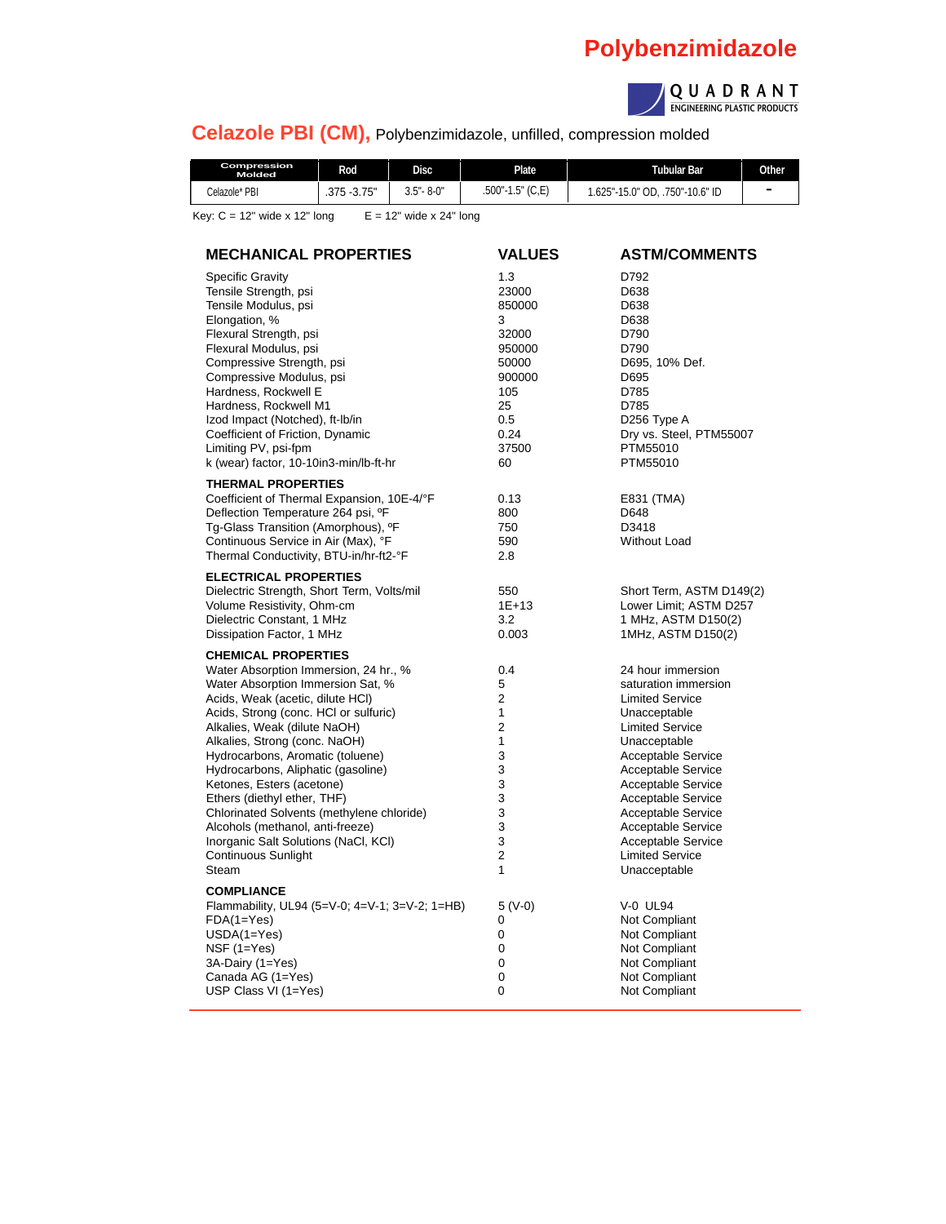# **Polybenzimidazole**



**Celazole PBI (CM),** Polybenzimidazole, unfilled, compression molded

| Compression<br>Molded                                         | <b>Rod</b>   | <b>Disc</b>   | <b>Plate</b>     | Tubular Bar                     | Other                    |  |  |
|---------------------------------------------------------------|--------------|---------------|------------------|---------------------------------|--------------------------|--|--|
| Celazole* PBI                                                 | .375 - 3.75" | $3.5 - 8 - 0$ | .500"-1.5" (C,E) | 1.625"-15.0" OD. .750"-10.6" ID | $\overline{\phantom{a}}$ |  |  |
| Key: $C = 12$ " wide x 12" long<br>$E = 12$ " wide x 24" long |              |               |                  |                                 |                          |  |  |

**MECHANICAL PROPERTIES VALUES ASTM/COMMENTS** Specific Gravity **1.3** D792<br>
Tensile Strength. psi **1.3** 23000 D638 Tensile Strength, psi 23000 D638 Tensile Modulus, psi 850000 D638 Elongation, % D638 Flexural Strength, psi 32000 D790 Flexural Modulus, psi 950000 D790 Compressive Strength, psi 50000 D695, 10% Def. Compressive Modulus, psi 900000 D695000 D695000 D695000 D695000 D695000 D695000 D695000 D695000 D695000 D69500 Hardness, Rockwell E 105 Press, 2008 105 Press, 25 D785<br>Hardness, Rockwell M1 1 25 25 D785 Hardness, Rockwell M1 25 Izod Impact (Notched), ft-lb/in 0.5 0.5 D256 Type A<br>
Coefficient of Friction, Dynamic 0.24 Dry vs. Steel, PTM55007 Coefficient of Friction, Dynamic 0.24 Dry vs. Steel, PTM55007 Limiting PV, psi-fpm 37500 PTM55010<br>
k (wear) factor, 10-10in3-min/lb-ft-hr 60 60 PTM55010 k (wear) factor, 10-10in3-min/lb-ft-hr 60 **THERMAL PROPERTIES** Coefficient of Thermal Expansion, 10E-4/°F 0.13 E831 (TMA) Deflection Temperature 264 psi, ºF 800 D648 Tg-Glass Transition (Amorphous), <sup>o</sup>F Continuous Service in Air (Max), °F 590 Service in Air (Max), °F 590 Without Load Thermal Conductivity, BTU-in/hr-ft2-°F 2.8 **ELECTRICAL PROPERTIES** Dielectric Strength, Short Term, Volts/mil 550 Short Term, ASTM D149(2) Volume Resistivity, Ohm-cm 1E+13 Lower Limit; ASTM D257 Dielectric Constant, 1 MHz<br>
Dissipation Factor, 1 MHz<br>
20.003 1 MHz, ASTM D150(2) Dissipation Factor, 1 MHz 0.003 **CHEMICAL PROPERTIES** Water Absorption Immersion, 24 hr., % 0.4 24 hour immersion Water Absorption Immersion Sat, % 5 5 5 saturation immersion<br>
Acids, Weak (acetic, dilute HCI) 5 5 5 5 5 5 km = 1 saturation immersion Acids, Weak (acetic, dilute HCl) Acids, Strong (conc. HCl or sulfuric) 1 and 1 and 1 Unacceptable Alkalies, Weak (dilute NaOH) 2 Limited Service Alkalies, Strong (conc. NaOH) 1 1 Unacceptable<br>
Hydrocarbons, Aromatic (toluene) 1 3 1 2 2 2 2 2 2 Acceptable Service Hydrocarbons, Aromatic (toluene) 3 Hydrocarbons, Aliphatic (gasoline) <br>
Hydrocarbons, Aliphatic (gasoline) 
3<br>
3<br>
2<br>
2<br>
Acceptable Service Ketones, Esters (acetone) 3 Acceptable Service Ethers (diethyl ether, THF) <br>
Chlorinated Solvents (methylene chloride)  $\begin{array}{ccc} 3 & 3 & 4c$ ceptable Service<br>
3 Acceptable Service Chlorinated Solvents (methylene chloride) 3 Alcohols (methanol, anti-freeze) <br>  $\begin{array}{ccc} 3 & 3 \\ \hline \end{array}$  Acceptable Service<br>
10. Acceptable Service Inorganic Salt Solutions (NaCl, KCl) Continuous Sunlight 2 Limited Service Steam 1 Unacceptable 1 Unacceptable **COMPLIANCE** Flammability, UL94 (5=V-0; 4=V-1; 3=V-2; 1=HB) 5 (V-0) V-0 UL94<br>FDA(1=Yes) 0 Not Comp FDA(1=Yes) 0 Not Compliant USDA(1=Yes) 0 Not Compliant 0 Not Compliant<br>
0 Not Compliant 3A-Dairy (1=Yes) Canada AG (1=Yes) 0 0 Not Compliant USP Class VI (1=Yes) 0 0 Not Compliant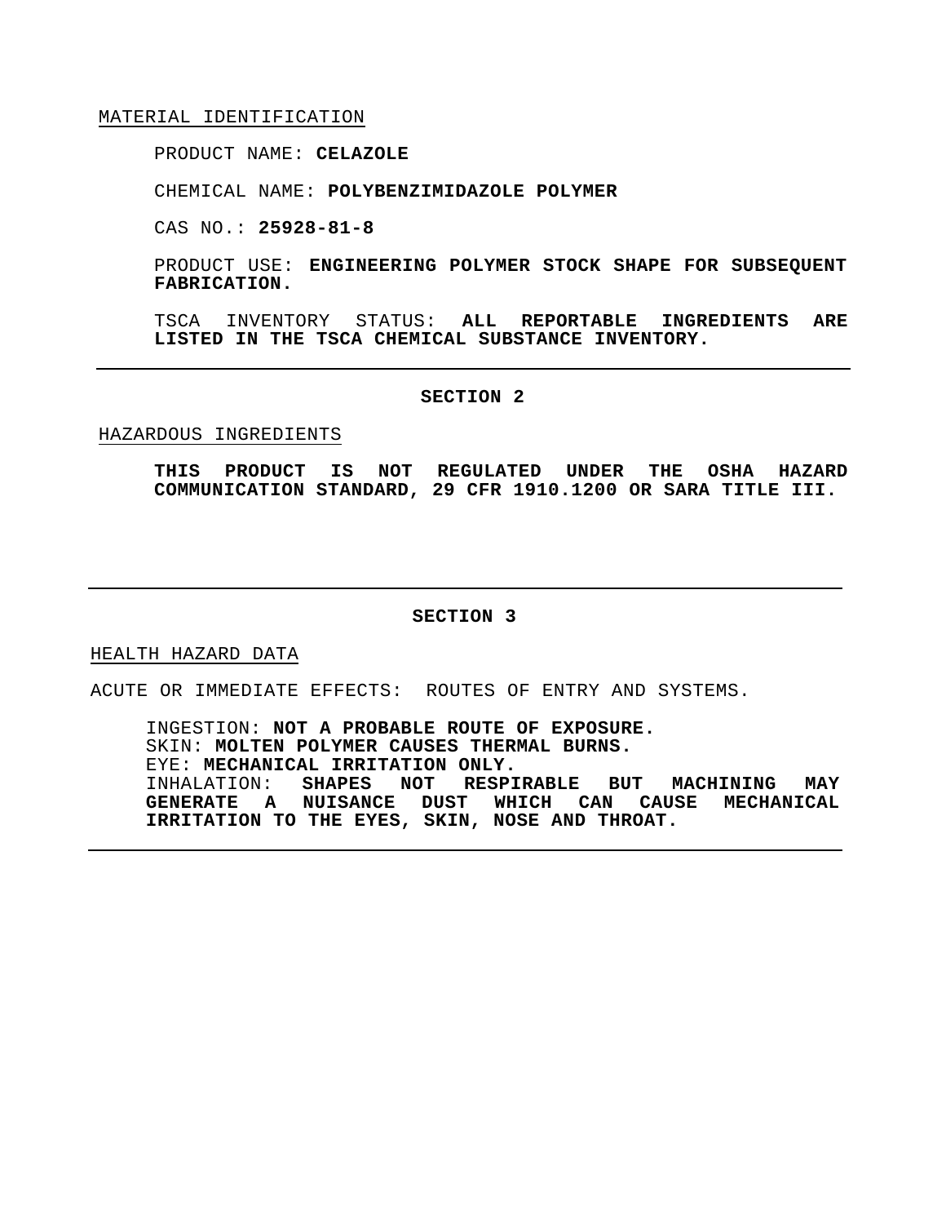#### MATERIAL IDENTIFICATION

PRODUCT NAME: **CELAZOLE**

CHEMICAL NAME: **POLYBENZIMIDAZOLE POLYMER**

CAS NO.: **25928-81-8**

PRODUCT USE: **ENGINEERING POLYMER STOCK SHAPE FOR SUBSEQUENT FABRICATION.**

TSCA INVENTORY STATUS: **ALL REPORTABLE INGREDIENTS ARE LISTED IN THE TSCA CHEMICAL SUBSTANCE INVENTORY.**

#### **SECTION 2**

#### HAZARDOUS INGREDIENTS

**THIS PRODUCT IS NOT REGULATED UNDER THE OSHA HAZARD COMMUNICATION STANDARD, 29 CFR 1910.1200 OR SARA TITLE III.**

#### **SECTION 3**

#### HEALTH HAZARD DATA

ACUTE OR IMMEDIATE EFFECTS: ROUTES OF ENTRY AND SYSTEMS.

INGESTION: **NOT A PROBABLE ROUTE OF EXPOSURE.** SKIN: **MOLTEN POLYMER CAUSES THERMAL BURNS.** EYE: **MECHANICAL IRRITATION ONLY.** INHALATION: **SHAPES NOT RESPIRABLE BUT MACHINING MAY GENERATE A NUISANCE DUST WHICH CAN CAUSE MECHANICAL IRRITATION TO THE EYES, SKIN, NOSE AND THROAT.**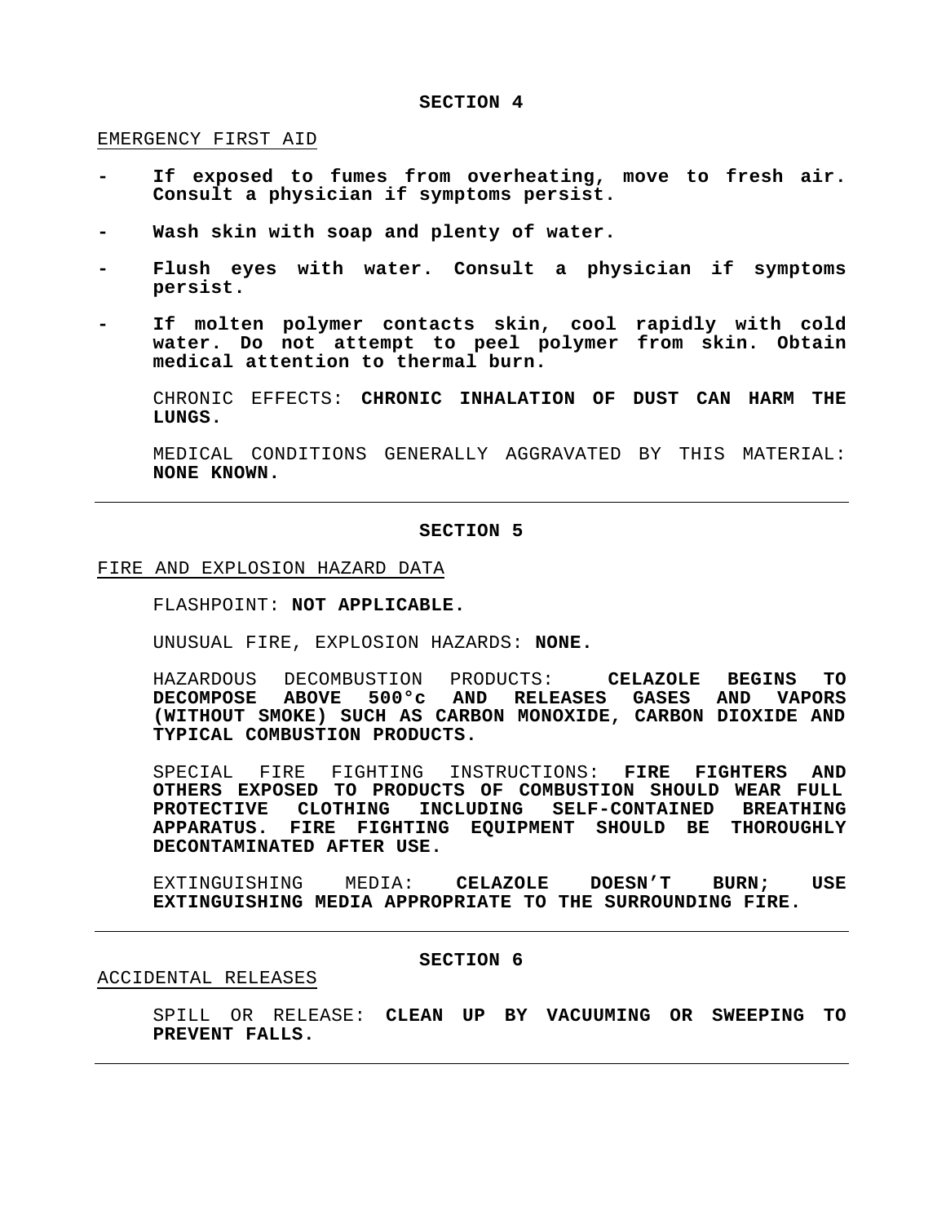#### EMERGENCY FIRST AID

- **- If exposed to fumes from overheating, move to fresh air. Consult a physician if symptoms persist.**
- **- Wash skin with soap and plenty of water.**
- **- Flush eyes with water. Consult a physician if symptoms persist.**
- **- If molten polymer contacts skin, cool rapidly with cold water. Do not attempt to peel polymer from skin. Obtain medical attention to thermal burn.**

CHRONIC EFFECTS: **CHRONIC INHALATION OF DUST CAN HARM THE LUNGS.**

MEDICAL CONDITIONS GENERALLY AGGRAVATED BY THIS MATERIAL: **NONE KNOWN.**

#### **SECTION 5**

#### FIRE AND EXPLOSION HAZARD DATA

FLASHPOINT: **NOT APPLICABLE.**

UNUSUAL FIRE, EXPLOSION HAZARDS: **NONE.**

HAZARDOUS DECOMBUSTION PRODUCTS: **CELAZOLE BEGINS TO DECOMPOSE ABOVE 500°c AND RELEASES GASES AND VAPORS (WITHOUT SMOKE) SUCH AS CARBON MONOXIDE, CARBON DIOXIDE AND TYPICAL COMBUSTION PRODUCTS.**

SPECIAL FIRE FIGHTING INSTRUCTIONS: **FIRE FIGHTERS AND OTHERS EXPOSED TO PRODUCTS OF COMBUSTION SHOULD WEAR FULL PROTECTIVE CLOTHING INCLUDING SELF-CONTAINED BREATHING APPARATUS. FIRE FIGHTING EQUIPMENT SHOULD BE THOROUGHLY DECONTAMINATED AFTER USE.**

EXTINGUISHING MEDIA: **CELAZOLE DOESN'T BURN; USE EXTINGUISHING MEDIA APPROPRIATE TO THE SURROUNDING FIRE.**

#### **SECTION 6**

#### ACCIDENTAL RELEASES

SPILL OR RELEASE: **CLEAN UP BY VACUUMING OR SWEEPING TO PREVENT FALLS.**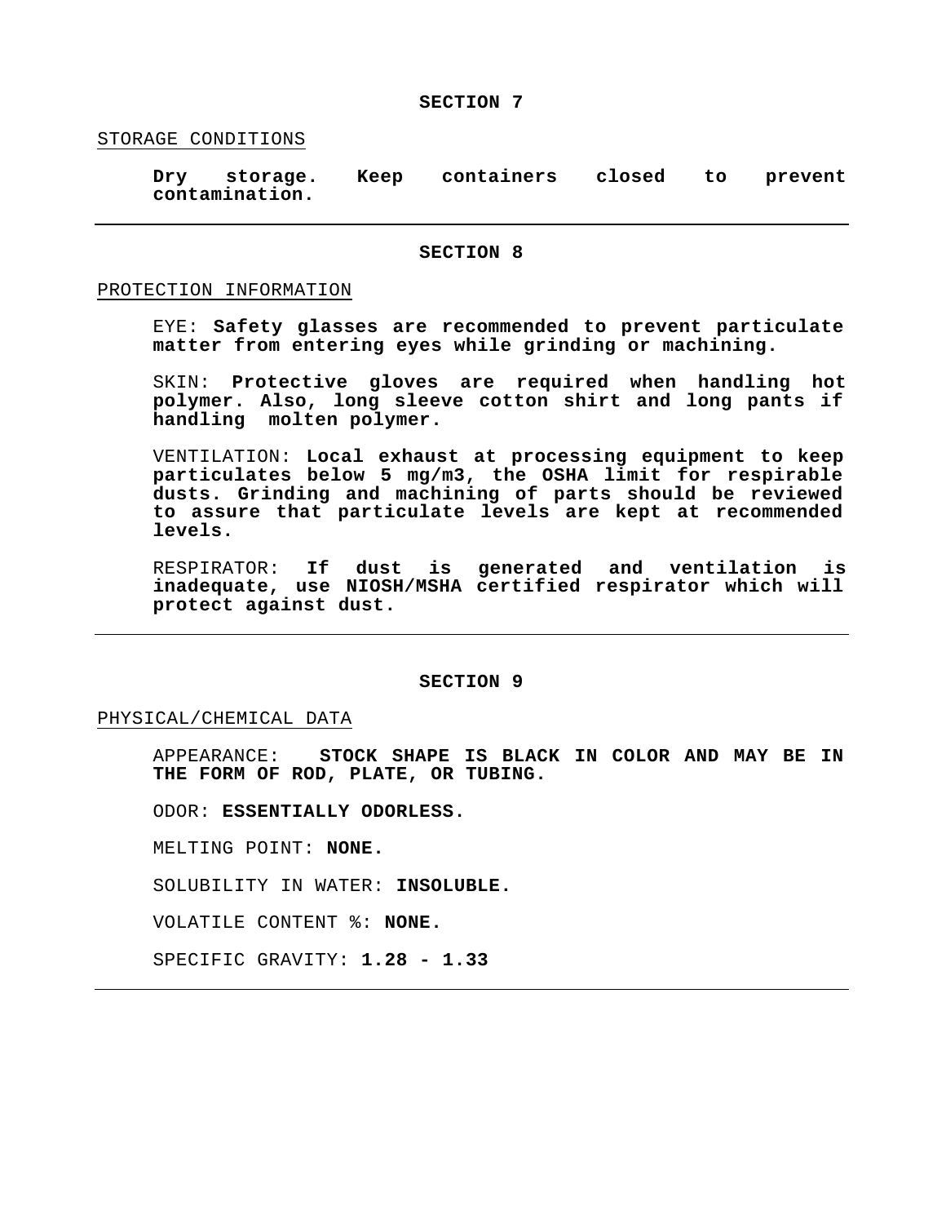#### STORAGE CONDITIONS

**Dry storage. Keep containers closed to prevent contamination.**

#### **SECTION 8**

#### PROTECTION INFORMATION

EYE: **Safety glasses are recommended to prevent particulate matter from entering eyes while grinding or machining.**

SKIN: **Protective gloves are required when handling hot polymer. Also, long sleeve cotton shirt and long pants if handling molten polymer.** 

VENTILATION: **Local exhaust at processing equipment to keep particulates below 5 mg/m3, the OSHA limit for respirable dusts. Grinding and machining of parts should be reviewed to assure that particulate levels are kept at recommended levels.**

RESPIRATOR: **If dust is generated and ventilation is inadequate, use NIOSH/MSHA certified respirator which will protect against dust.**

#### **SECTION 9**

#### PHYSICAL/CHEMICAL DATA

APPEARANCE: **STOCK SHAPE IS BLACK IN COLOR AND MAY BE IN THE FORM OF ROD, PLATE, OR TUBING.**

ODOR: **ESSENTIALLY ODORLESS.**

MELTING POINT: **NONE.**

SOLUBILITY IN WATER: **INSOLUBLE.**

VOLATILE CONTENT %: **NONE.**

SPECIFIC GRAVITY: **1.28 - 1.33**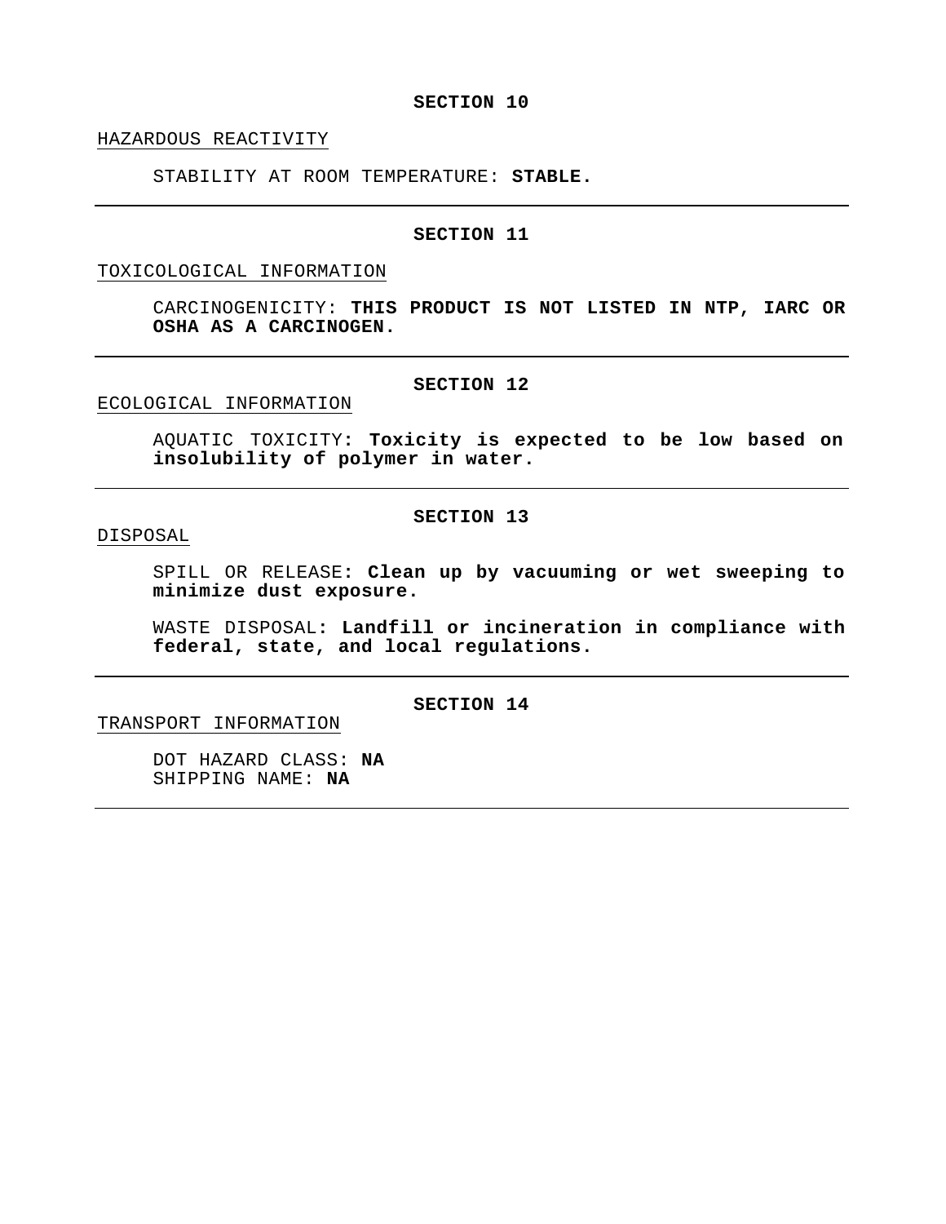HAZARDOUS REACTIVITY

STABILITY AT ROOM TEMPERATURE: **STABLE.**

#### **SECTION 11**

# TOXICOLOGICAL INFORMATION

CARCINOGENICITY: **THIS PRODUCT IS NOT LISTED IN NTP, IARC OR OSHA AS A CARCINOGEN.**

# **SECTION 12**

ECOLOGICAL INFORMATION

AQUATIC TOXICITY**: Toxicity is expected to be low based on insolubility of polymer in water.**

#### **SECTION 13**

# DISPOSAL

SPILL OR RELEASE**: Clean up by vacuuming or wet sweeping to minimize dust exposure.** 

WASTE DISPOSAL**: Landfill or incineration in compliance with federal, state, and local regulations.**

# **SECTION 14**

TRANSPORT INFORMATION

DOT HAZARD CLASS: **NA** SHIPPING NAME: **NA**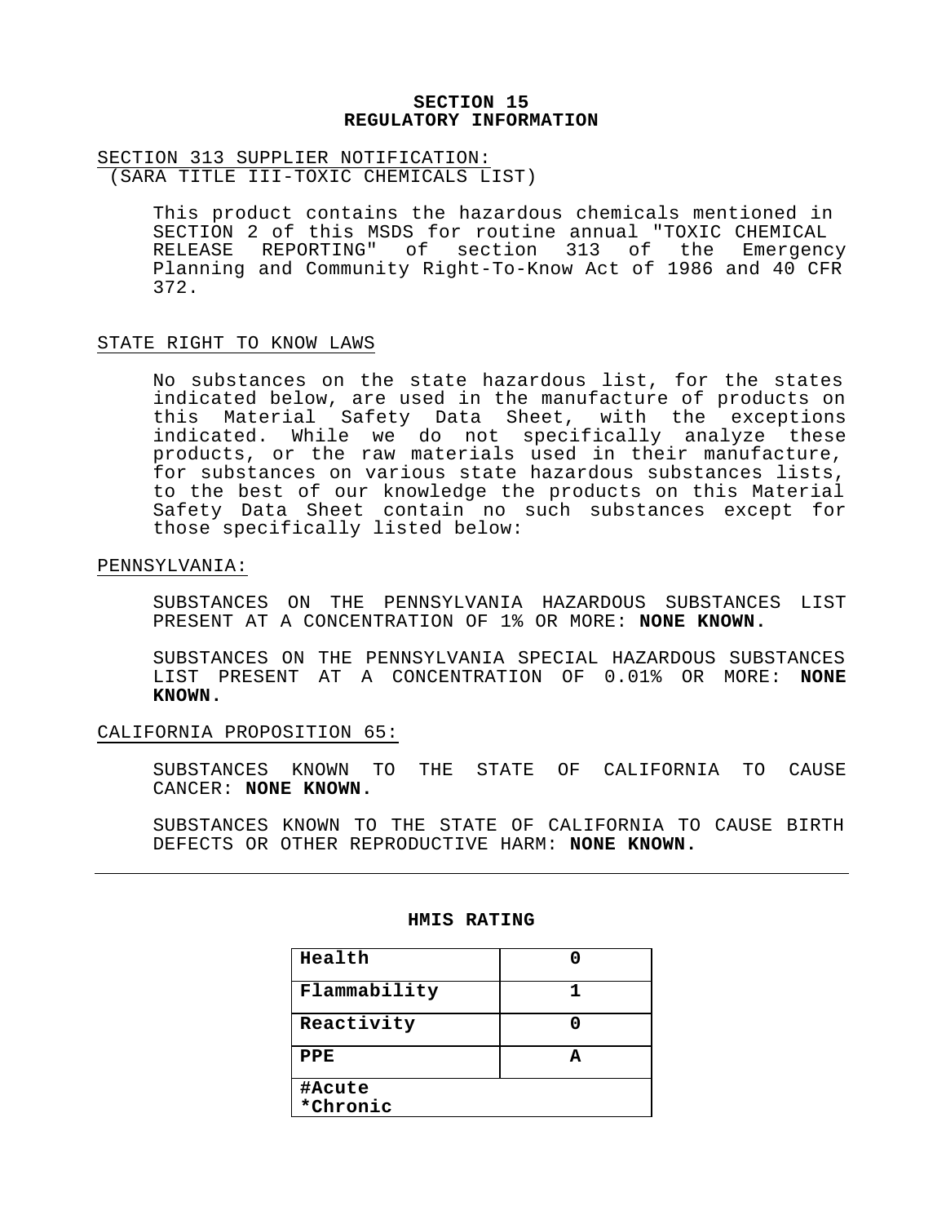# **SECTION 15 REGULATORY INFORMATION**

# SECTION 313 SUPPLIER NOTIFICATION:

(SARA TITLE III-TOXIC CHEMICALS LIST)

This product contains the hazardous chemicals mentioned in SECTION 2 of this MSDS for routine annual "TOXIC CHEMICAL RELEASE REPORTING" of section 313 of the Emergency Planning and Community Right-To-Know Act of 1986 and 40 CFR 372.

# STATE RIGHT TO KNOW LAWS

No substances on the state hazardous list, for the states indicated below, are used in the manufacture of products on this Material Safety Data Sheet, with the exceptions indicated. While we do not specifically analyze these products, or the raw materials used in their manufacture, for substances on various state hazardous substances lists, to the best of our knowledge the products on this Material Safety Data Sheet contain no such substances except for those specifically listed below:

#### PENNSYLVANIA:

SUBSTANCES ON THE PENNSYLVANIA HAZARDOUS SUBSTANCES LIST PRESENT AT A CONCENTRATION OF 1% OR MORE: **NONE KNOWN.**

SUBSTANCES ON THE PENNSYLVANIA SPECIAL HAZARDOUS SUBSTANCES LIST PRESENT AT A CONCENTRATION OF 0.01% OR MORE: **NONE KNOWN.**

# CALIFORNIA PROPOSITION 65:

SUBSTANCES KNOWN TO THE STATE OF CALIFORNIA TO CAUSE CANCER: **NONE KNOWN.**

SUBSTANCES KNOWN TO THE STATE OF CALIFORNIA TO CAUSE BIRTH DEFECTS OR OTHER REPRODUCTIVE HARM: **NONE KNOWN.**

#### **HMIS RATING**

| Health             |  |
|--------------------|--|
| Flammability       |  |
| Reactivity         |  |
| PPE                |  |
| #Acute<br>*Chronic |  |